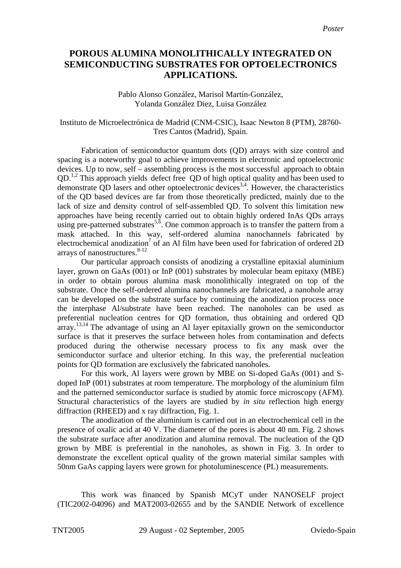## **POROUS ALUMINA MONOLITHICALLY INTEGRATED ON SEMICONDUCTING SUBSTRATES FOR OPTOELECTRONICS APPLICATIONS.**

#### Pablo Alonso González, Marisol Martín-González, Yolanda González Diez, Luisa González

#### Instituto de Microelectrónica de Madrid (CNM-CSIC), Isaac Newton 8 (PTM), 28760- Tres Cantos (Madrid), Spain.

Fabrication of semiconductor quantum dots (QD) arrays with size control and spacing is a noteworthy goal to achieve improvements in electronic and optoelectronic devices. Up to now, self – assembling process is the most successful approach to obtain QD.<sup>[1,](#page-1-0)[2](#page-1-1)</sup> This approach yields defect free QD of high optical quality and has been used to demonstrate QD lasers and other optoelectronic devices<sup>[3,](#page-1-2)[4](#page-1-3)</sup>. However, the characteristics of the QD based devices are far from those theoretically predicted, mainly due to the lack of size and density control of self-assembled QD. To solvent this limitation new approaches have being recently carried out to obtain highly ordered InAs QDs arrays using pre-patterned substrates<sup>[5,](#page-1-4) $\delta$ </sup>. One common approach is to transfer the pattern from a mask attached. In this way, self-ordered alumina nanochannels fabricated by electrochemical anodization<sup>7</sup> of an Al film have been used for fabrication of ordered 2D arrays of nanostructures. $8-12$  $8-12$ 

Our particular approach consists of anodizing a crystalline epitaxial aluminium layer, grown on GaAs (001) or InP (001) substrates by molecular beam epitaxy (MBE) in order to obtain porous alumina mask monolithically integrated on top of the substrate. Once the self-ordered alumina nanochannels are fabricated, a nanohole array can be developed on the substrate surface by continuing the anodization process once the interphase Al/substrate have been reached. The nanoholes can be used as preferential nucleation centres for QD formation, thus obtaining and ordered QD array.<sup>[13,](#page-1-12)[14](#page-1-13)</sup> The advantage of using an Al layer epitaxially grown on the semiconductor surface is that it preserves the surface between holes from contamination and defects produced during the otherwise necessary process to fix any mask over the semiconductor surface and ulterior etching. In this way, the preferential nucleation points for QD formation are exclusively the fabricated nanoholes.

For this work, Al layers were grown by MBE on Si-doped GaAs (001) and Sdoped InP (001) substrates at room temperature. The morphology of the aluminium film and the patterned semiconductor surface is studied by atomic force microscopy (AFM). Structural characteristics of the layers are studied by *in situ* reflection high energy diffraction (RHEED) and x ray diffraction, Fig. 1.

The anodization of the aluminium is carried out in an electrochemical cell in the presence of oxalic acid at 40 V. The diameter of the pores is about 40 nm. Fig. 2 shows the substrate surface after anodization and alumina removal. The nucleation of the QD grown by MBE is preferential in the nanoholes, as shown in Fig. 3. In order to demonstrate the excellent optical quality of the grown material similar samples with 50nm GaAs capping layers were grown for photoluminescence (PL) measurements.

This work was financed by Spanish MCyT under NANOSELF project (TIC2002-04096) and MAT2003-02655 and by the SANDIE Network of excellence